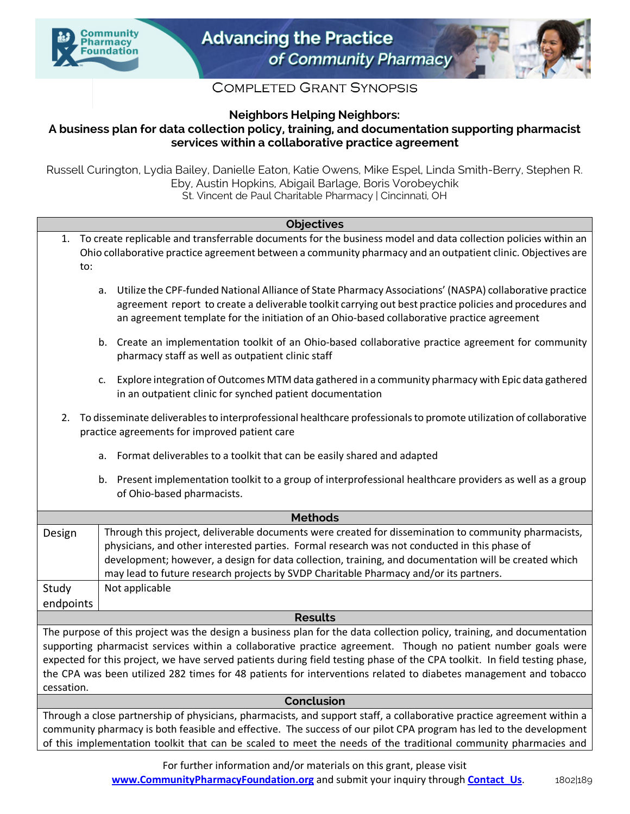



## **COMPLETED GRANT SYNOPSIS**

**Neighbors Helping Neighbors:**

## **A business plan for data collection policy, training, and documentation supporting pharmacist services within a collaborative practice agreement**

Russell Curington, Lydia Bailey, Danielle Eaton, Katie Owens, Mike Espel, Linda Smith-Berry, Stephen R. Eby, Austin Hopkins, Abigail Barlage, Boris Vorobeychik St. Vincent de Paul Charitable Pharmacy | Cincinnati, OH

| <b>Objectives</b>                                                                                                                                                                                                                                           |    |                                                                                                                                                                                                                                                                                                                                                                                                        |
|-------------------------------------------------------------------------------------------------------------------------------------------------------------------------------------------------------------------------------------------------------------|----|--------------------------------------------------------------------------------------------------------------------------------------------------------------------------------------------------------------------------------------------------------------------------------------------------------------------------------------------------------------------------------------------------------|
| 1.<br>to:                                                                                                                                                                                                                                                   |    | To create replicable and transferrable documents for the business model and data collection policies within an<br>Ohio collaborative practice agreement between a community pharmacy and an outpatient clinic. Objectives are                                                                                                                                                                          |
|                                                                                                                                                                                                                                                             | a. | Utilize the CPF-funded National Alliance of State Pharmacy Associations' (NASPA) collaborative practice<br>agreement report to create a deliverable toolkit carrying out best practice policies and procedures and<br>an agreement template for the initiation of an Ohio-based collaborative practice agreement                                                                                       |
|                                                                                                                                                                                                                                                             |    | b. Create an implementation toolkit of an Ohio-based collaborative practice agreement for community<br>pharmacy staff as well as outpatient clinic staff                                                                                                                                                                                                                                               |
|                                                                                                                                                                                                                                                             | c. | Explore integration of Outcomes MTM data gathered in a community pharmacy with Epic data gathered<br>in an outpatient clinic for synched patient documentation                                                                                                                                                                                                                                         |
| To disseminate deliverables to interprofessional healthcare professionals to promote utilization of collaborative<br>2.<br>practice agreements for improved patient care                                                                                    |    |                                                                                                                                                                                                                                                                                                                                                                                                        |
|                                                                                                                                                                                                                                                             |    | Format deliverables to a toolkit that can be easily shared and adapted<br>а.                                                                                                                                                                                                                                                                                                                           |
|                                                                                                                                                                                                                                                             | b. | Present implementation toolkit to a group of interprofessional healthcare providers as well as a group<br>of Ohio-based pharmacists.                                                                                                                                                                                                                                                                   |
| <b>Methods</b>                                                                                                                                                                                                                                              |    |                                                                                                                                                                                                                                                                                                                                                                                                        |
| Design                                                                                                                                                                                                                                                      |    | Through this project, deliverable documents were created for dissemination to community pharmacists,<br>physicians, and other interested parties. Formal research was not conducted in this phase of<br>development; however, a design for data collection, training, and documentation will be created which<br>may lead to future research projects by SVDP Charitable Pharmacy and/or its partners. |
| Study                                                                                                                                                                                                                                                       |    | Not applicable                                                                                                                                                                                                                                                                                                                                                                                         |
| endpoints                                                                                                                                                                                                                                                   |    |                                                                                                                                                                                                                                                                                                                                                                                                        |
| <b>Results</b>                                                                                                                                                                                                                                              |    |                                                                                                                                                                                                                                                                                                                                                                                                        |
| The purpose of this project was the design a business plan for the data collection policy, training, and documentation<br>supporting pharmacist services within a collaborative practice agreement. Though no patient number goals were                     |    |                                                                                                                                                                                                                                                                                                                                                                                                        |
| expected for this project, we have served patients during field testing phase of the CPA toolkit. In field testing phase,<br>the CPA was been utilized 282 times for 48 patients for interventions related to diabetes management and tobacco<br>cessation. |    |                                                                                                                                                                                                                                                                                                                                                                                                        |
| Conclusion                                                                                                                                                                                                                                                  |    |                                                                                                                                                                                                                                                                                                                                                                                                        |
| Through a close partnership of physicians, pharmacists, and support staff, a collaborative practice agreement within a                                                                                                                                      |    |                                                                                                                                                                                                                                                                                                                                                                                                        |
| community pharmacy is both feasible and effective. The success of our pilot CPA program has led to the development<br>of this implementation toolkit that can be scaled to meet the needs of the traditional community pharmacies and                       |    |                                                                                                                                                                                                                                                                                                                                                                                                        |

For further information and/or materials on this grant, please visit **www.CommunityPharmacyFoundation.org** and submit your inquiry through **Contact Us.** 1802|189